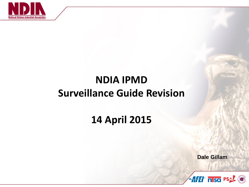

### **NDIA IPMD Surveillance Guide Revision**

### **14 April 2015**

**Dale Gillam**

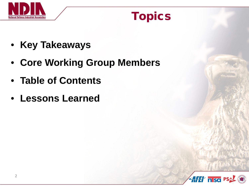

### Topics

- **Key Takeaways**
- **Core Working Group Members**
- **Table of Contents**
- **Lessons Learned**

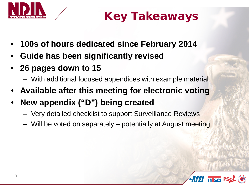

# Key Takeaways

- **100s of hours dedicated since February 2014**
- **Guide has been significantly revised**
- **26 pages down to 15**
	- With additional focused appendices with example material
- **Available after this meeting for electronic voting**
- **New appendix ("D") being created** 
	- Very detailed checklist to support Surveillance Reviews
	- Will be voted on separately potentially at August meeting

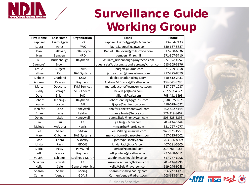

## Surveillance Guide Working Group

| <b>First Name</b> | <b>Last Name</b> | Organization           | <b>Email</b>                             | Phone          |
|-------------------|------------------|------------------------|------------------------------------------|----------------|
| Raphael           | Asafo-Agyei      | $L-3$                  | Raphael.Asafo-Agyei@L-3com.com           | 513-204-7133   |
| Laura             | Ayres            | <b>PWC</b>             | laura.j.ayres@us.pwc.com                 | 630-667-5887   |
| Dan               | Bellovary        | Rolls-Royce            | Daniel.L.Bellovary@rolls-royce.com       | 317-230-6936   |
| Ivan              | <b>Bembers</b>   | <b>NRO</b>             | bembersi@nro.mil                         | 571-307-5710   |
| Bill              | Bridenbaugh      | Raytheon               | William_Bridenbaugh@raytheon.com         | 972-952-4952   |
| Saundre'          | <b>Brown</b>     |                        | queenseb@aol.com; saundrebrown@gmail.com | 213-509-3876   |
| Leslie            | <b>Burgett</b>   | Harris                 | lburgett@Harris.com                      | 321-729-3558   |
| Jeffrey           | Carr             | <b>BAE Systems</b>     | jeffrey.t.carr@baesystems.com            | 717-225-8079   |
| Debbie            | Charland         | <b>NGSS</b>            | debbie.charland@ngc.com                  | 310-812-2431   |
| Andrew            | Dorsey           | Raytheon               | Andrew.M.Dorsey@Raytheon.com             | 339-645-8795   |
| Marty             | Doucette         | <b>EVM Services</b>    | martydoucette@evmservices.com            | 317-727-1237   |
| <b>Buddy</b>      | Everage          | <b>MCR Federal</b>     | beverage@mcri.com                        | 202-507-4372   |
| Dale              | Gillam           | SAIC                   | gillamd@saic.com                         | 703-431-6398   |
| Robert            | Jennings         | Raytheon               | Robert.Jennings@ga-asi.com               | (858) 525-6375 |
| Louise            | Joyce            | AAI                    | ljoyce@aai.textron.com                   | 410-628-4692   |
| Jennifer          | Lane             | Honeywell              | Jennifer.Lane@honeywell.com              | 602-822-4164   |
| <b>Brian</b>      | Leiss            | Leidos                 | brian.e.lewis@leidos.com                 | 571-319-8467   |
| Donna             | Little           | Honeywell              | donna.little@honeywell.com               | 505-828-5393   |
| Jia               | Liu              | L <sub>3</sub>         | jia.liu@l-3com.com                       | 703-434-6244   |
| Melody            | McArthur         | Harris                 | mmcarthu@harris.com                      | 321-727-4277   |
| Lee               | Miller           | SM&A                   | Lee.Miller@smawins.com                   | 949-975-1550   |
| Mary              | Osborne          | <b>BAE Systems</b>     | mary.osborne@baesystems.com              | 717-225-8002   |
| Jose              | Otero            | Sikorsky               | jotero@sikorsky.com                      | 203-386-8609   |
| Linda             | Pack             | GDC4S                  | Linda.Pack@gdc4s.com                     | 407-281-5605   |
| Deric             | Petty            | PPMS Intl              | dericp@ppmsintl.com                      | 214-763-4183   |
| Jeff              | Poulson          | Raytheon               | jeff.poulson@raytheon.com                | 727-488-6611   |
| Vaughn            | Schlegel         | Lockheed Martin        | vaughn.m.schlegel@Imco.com               | 817-777-6998   |
| Susanna           | Schwab           | L <sub>3</sub>         | susanna.schwab@l-3com.com                | 703-434-4796   |
| Kelly             | Sele             | <b>General Atomics</b> | Kelly.V.Sele@raytheon.com                | 619-244-9043   |
| Sharon            | Shaw             | <b>Boeing</b>          | sharon.r.shaw@boeing.com                 | 314-777-4173   |
| Carmen            | Ventre           | <b>GDAIS</b>           | Carmen.Ventre@gd-ais.com                 | 703-638-5437   |



*AHH* nsd PSA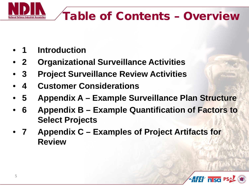

# Table of Contents – Overview

- **1 Introduction**
- **2 Organizational Surveillance Activities**
- **3 Project Surveillance Review Activities**
- **4 Customer Considerations**
- **5 Appendix A – Example Surveillance Plan Structure**
- **6 Appendix B – Example Quantification of Factors to Select Projects**
- **7 Appendix C – Examples of Project Artifacts for Review**

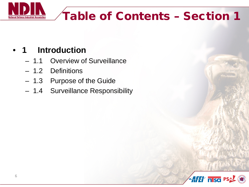

# Table of Contents – Section 1

#### • **1 Introduction**

- 1.1 Overview of Surveillance
- 1.2 Definitions
- 1.3 Purpose of the Guide
- 1.4 Surveillance Responsibility

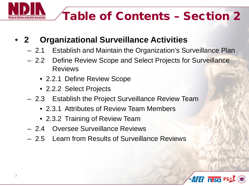

#### • **2 Organizational Surveillance Activities**

- 2.1 Establish and Maintain the Organization's Surveillance Plan
- 2.2 Define Review Scope and Select Projects for Surveillance Reviews
	- 2.2.1 Define Review Scope
	- 2.2.2 Select Projects
- 2.3 Establish the Project Surveillance Review Team
	- 2.3.1 Attributes of Review Team Members
	- 2.3.2 Training of Review Team
- 2.4 Oversee Surveillance Reviews
- 2.5 Learn from Results of Surveillance Reviews

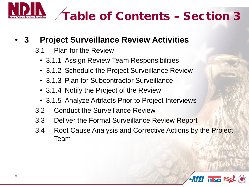

# Table of Contents – Section 3

#### • **3 Project Surveillance Review Activities**

- 3.1 Plan for the Review
	- 3.1.1 Assign Review Team Responsibilities
	- 3.1.2 Schedule the Project Surveillance Review
	- 3.1.3 Plan for Subcontractor Surveillance
	- 3.1.4 Notify the Project of the Review
	- 3.1.5 Analyze Artifacts Prior to Project Interviews
- 3.2 Conduct the Surveillance Review
- 3.3 Deliver the Formal Surveillance Review Report
- 3.4 Root Cause Analysis and Corrective Actions by the Project Team

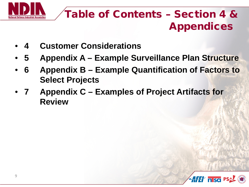

### Table of Contents – Section 4 & Appendices

- **4 Customer Considerations**
- **5 Appendix A – Example Surveillance Plan Structure**
- **6 Appendix B – Example Quantification of Factors to Select Projects**
- **7 Appendix C – Examples of Project Artifacts for Review**